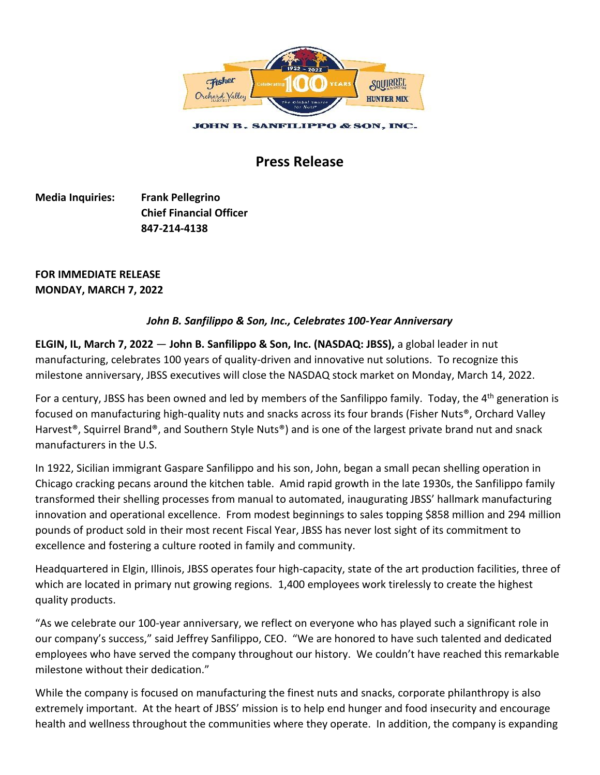

## **Press Release**

**Media Inquiries: Frank Pellegrino Chief Financial Officer 847-214-4138**

**FOR IMMEDIATE RELEASE MONDAY, MARCH 7, 2022**

## *John B. Sanfilippo & Son, Inc., Celebrates 100-Year Anniversary*

**ELGIN, IL, March 7, 2022** — **John B. Sanfilippo & Son, Inc. (NASDAQ: JBSS),** a global leader in nut manufacturing, celebrates 100 years of quality-driven and innovative nut solutions. To recognize this milestone anniversary, JBSS executives will close the NASDAQ stock market on Monday, March 14, 2022.

For a century, JBSS has been owned and led by members of the Sanfilippo family. Today, the 4<sup>th</sup> generation is focused on manufacturing high-quality nuts and snacks across its four brands (Fisher Nuts®, Orchard Valley Harvest<sup>®</sup>, Squirrel Brand®, and Southern Style Nuts®) and is one of the largest private brand nut and snack manufacturers in the U.S.

In 1922, Sicilian immigrant Gaspare Sanfilippo and his son, John, began a small pecan shelling operation in Chicago cracking pecans around the kitchen table. Amid rapid growth in the late 1930s, the Sanfilippo family transformed their shelling processes from manual to automated, inaugurating JBSS' hallmark manufacturing innovation and operational excellence. From modest beginnings to sales topping \$858 million and 294 million pounds of product sold in their most recent Fiscal Year, JBSS has never lost sight of its commitment to excellence and fostering a culture rooted in family and community.

Headquartered in Elgin, Illinois, JBSS operates four high-capacity, state of the art production facilities, three of which are located in primary nut growing regions. 1,400 employees work tirelessly to create the highest quality products.

"As we celebrate our 100-year anniversary, we reflect on everyone who has played such a significant role in our company's success," said Jeffrey Sanfilippo, CEO. "We are honored to have such talented and dedicated employees who have served the company throughout our history. We couldn't have reached this remarkable milestone without their dedication."

While the company is focused on manufacturing the finest nuts and snacks, corporate philanthropy is also extremely important. At the heart of JBSS' mission is to help end hunger and food insecurity and encourage health and wellness throughout the communities where they operate. In addition, the company is expanding